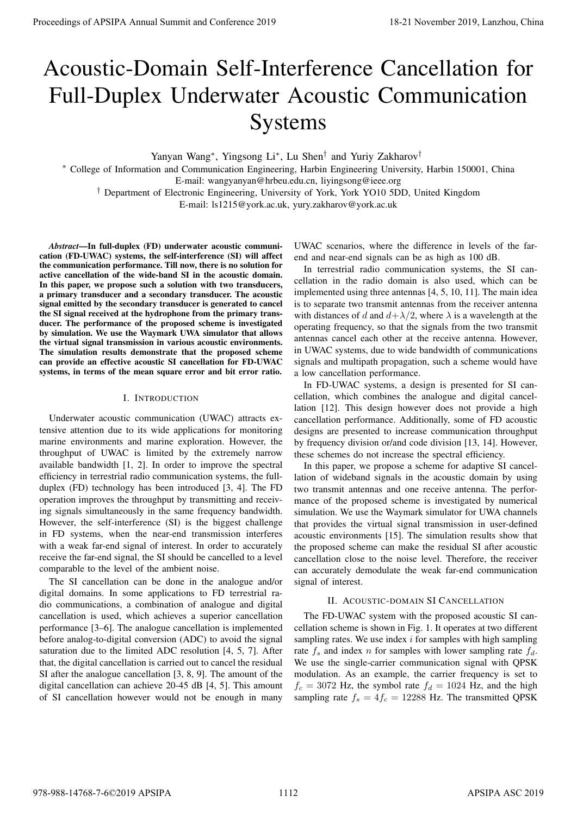# Acoustic-Domain Self-Interference Cancellation for Full-Duplex Underwater Acoustic Communication Systems

Yanyan Wang<sup>∗</sup> , Yingsong Li<sup>∗</sup> , Lu Shen† and Yuriy Zakharov†

<sup>∗</sup> College of Information and Communication Engineering, Harbin Engineering University, Harbin 150001, China E-mail: wangyanyan@hrbeu.edu.cn, liyingsong@ieee.org

† Department of Electronic Engineering, University of York, York YO10 5DD, United Kingdom

E-mail: ls1215@york.ac.uk, yury.zakharov@york.ac.uk

*Abstract*—In full-duplex (FD) underwater acoustic communication (FD-UWAC) systems, the self-interference (SI) will affect the communication performance. Till now, there is no solution for active cancellation of the wide-band SI in the acoustic domain. In this paper, we propose such a solution with two transducers, a primary transducer and a secondary transducer. The acoustic signal emitted by the secondary transducer is generated to cancel the SI signal received at the hydrophone from the primary transducer. The performance of the proposed scheme is investigated by simulation. We use the Waymark UWA simulator that allows the virtual signal transmission in various acoustic environments. The simulation results demonstrate that the proposed scheme can provide an effective acoustic SI cancellation for FD-UWAC systems, in terms of the mean square error and bit error ratio.

#### I. INTRODUCTION

Underwater acoustic communication (UWAC) attracts extensive attention due to its wide applications for monitoring marine environments and marine exploration. However, the throughput of UWAC is limited by the extremely narrow available bandwidth [1, 2]. In order to improve the spectral efficiency in terrestrial radio communication systems, the fullduplex (FD) technology has been introduced [3, 4]. The FD operation improves the throughput by transmitting and receiving signals simultaneously in the same frequency bandwidth. However, the self-interference (SI) is the biggest challenge in FD systems, when the near-end transmission interferes with a weak far-end signal of interest. In order to accurately receive the far-end signal, the SI should be cancelled to a level comparable to the level of the ambient noise. **Proceedings of APSIPA Annual Summit at China 978-988-1478**<br> **A counsel of APSIPA Annual Summit and Conference 2019**<br> **Conference 2019**<br> **Conference 2020**<br> **Conference 2020**<br> **Conference 2020**<br> **Conference 2020**<br> **Confere** 

The SI cancellation can be done in the analogue and/or digital domains. In some applications to FD terrestrial radio communications, a combination of analogue and digital cancellation is used, which achieves a superior cancellation performance [3–6]. The analogue cancellation is implemented before analog-to-digital conversion (ADC) to avoid the signal saturation due to the limited ADC resolution [4, 5, 7]. After that, the digital cancellation is carried out to cancel the residual SI after the analogue cancellation [3, 8, 9]. The amount of the digital cancellation can achieve 20-45 dB [4, 5]. This amount of SI cancellation however would not be enough in many

UWAC scenarios, where the difference in levels of the farend and near-end signals can be as high as 100 dB.

In terrestrial radio communication systems, the SI cancellation in the radio domain is also used, which can be implemented using three antennas [4, 5, 10, 11]. The main idea is to separate two transmit antennas from the receiver antenna with distances of d and  $d + \lambda/2$ , where  $\lambda$  is a wavelength at the operating frequency, so that the signals from the two transmit antennas cancel each other at the receive antenna. However, in UWAC systems, due to wide bandwidth of communications signals and multipath propagation, such a scheme would have a low cancellation performance.

In FD-UWAC systems, a design is presented for SI cancellation, which combines the analogue and digital cancellation [12]. This design however does not provide a high cancellation performance. Additionally, some of FD acoustic designs are presented to increase communication throughput by frequency division or/and code division [13, 14]. However, these schemes do not increase the spectral efficiency.

In this paper, we propose a scheme for adaptive SI cancellation of wideband signals in the acoustic domain by using two transmit antennas and one receive antenna. The performance of the proposed scheme is investigated by numerical simulation. We use the Waymark simulator for UWA channels that provides the virtual signal transmission in user-defined acoustic environments [15]. The simulation results show that the proposed scheme can make the residual SI after acoustic cancellation close to the noise level. Therefore, the receiver can accurately demodulate the weak far-end communication signal of interest.

## II. ACOUSTIC-DOMAIN SI CANCELLATION

The FD-UWAC system with the proposed acoustic SI cancellation scheme is shown in Fig. 1. It operates at two different sampling rates. We use index  $i$  for samples with high sampling rate  $f_s$  and index n for samples with lower sampling rate  $f_d$ . We use the single-carrier communication signal with QPSK modulation. As an example, the carrier frequency is set to  $f_c = 3072$  Hz, the symbol rate  $f_d = 1024$  Hz, and the high sampling rate  $f_s = 4f_c = 12288$  Hz. The transmitted QPSK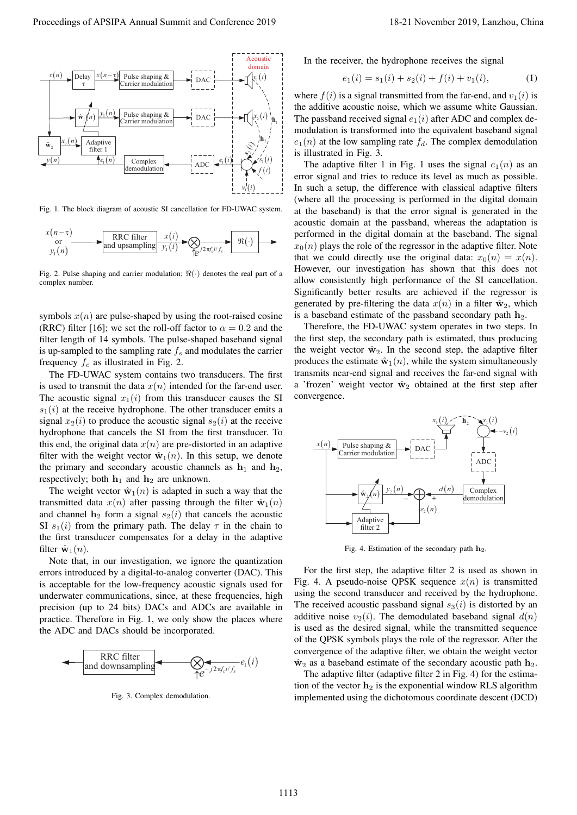

Fig. 1. The block diagram of acoustic SI cancellation for FD-UWAC system.

$$
x(n-\tau) \longrightarrow \text{RRC filter} \qquad x(i) \longrightarrow \text{RRC filter} \qquad x(i) \longrightarrow \text{R/C} \qquad x(i) \longrightarrow \text{R/C}
$$

Fig. 2. Pulse shaping and carrier modulation;  $\Re(\cdot)$  denotes the real part of a complex number.

symbols  $x(n)$  are pulse-shaped by using the root-raised cosine (RRC) filter [16]; we set the roll-off factor to  $\alpha = 0.2$  and the filter length of 14 symbols. The pulse-shaped baseband signal is up-sampled to the sampling rate  $f_s$  and modulates the carrier frequency  $f_c$  as illustrated in Fig. 2.

The FD-UWAC system contains two transducers. The first is used to transmit the data  $x(n)$  intended for the far-end user. The acoustic signal  $x_1(i)$  from this transducer causes the SI  $s_1(i)$  at the receive hydrophone. The other transducer emits a signal  $x_2(i)$  to produce the acoustic signal  $s_2(i)$  at the receive hydrophone that cancels the SI from the first transducer. To this end, the original data  $x(n)$  are pre-distorted in an adaptive filter with the weight vector  $\hat{\mathbf{w}}_1(n)$ . In this setup, we denote the primary and secondary acoustic channels as  $h_1$  and  $h_2$ , respectively; both  $h_1$  and  $h_2$  are unknown.

The weight vector  $\hat{\mathbf{w}}_1(n)$  is adapted in such a way that the transmitted data  $x(n)$  after passing through the filter  $\hat{\mathbf{w}}_1(n)$ and channel  $h_2$  form a signal  $s_2(i)$  that cancels the acoustic SI  $s_1(i)$  from the primary path. The delay  $\tau$  in the chain to the first transducer compensates for a delay in the adaptive filter  $\hat{\mathbf{w}}_1(n)$ .

Note that, in our investigation, we ignore the quantization errors introduced by a digital-to-analog converter (DAC). This is acceptable for the low-frequency acoustic signals used for underwater communications, since, at these frequencies, high precision (up to 24 bits) DACs and ADCs are available in practice. Therefore in Fig. 1, we only show the places where the ADC and DACs should be incorporated.



Fig. 3. Complex demodulation.

In the receiver, the hydrophone receives the signal

$$
e_1(i) = s_1(i) + s_2(i) + f(i) + v_1(i),
$$
\n(1)

where  $f(i)$  is a signal transmitted from the far-end, and  $v_1(i)$  is the additive acoustic noise, which we assume white Gaussian. The passband received signal  $e_1(i)$  after ADC and complex demodulation is transformed into the equivalent baseband signal  $e_1(n)$  at the low sampling rate  $f_d$ . The complex demodulation is illustrated in Fig. 3.

The adaptive filter 1 in Fig. 1 uses the signal  $e_1(n)$  as an error signal and tries to reduce its level as much as possible. In such a setup, the difference with classical adaptive filters (where all the processing is performed in the digital domain at the baseband) is that the error signal is generated in the acoustic domain at the passband, whereas the adaptation is performed in the digital domain at the baseband. The signal  $x_0(n)$  plays the role of the regressor in the adaptive filter. Note that we could directly use the original data:  $x_0(n) = x(n)$ . However, our investigation has shown that this does not allow consistently high performance of the SI cancellation. Significantly better results are achieved if the regressor is generated by pre-filtering the data  $x(n)$  in a filter  $\hat{w}_2$ , which is a baseband estimate of the passband secondary path  $h_2$ .

Therefore, the FD-UWAC system operates in two steps. In the first step, the secondary path is estimated, thus producing the weight vector  $\hat{w}_2$ . In the second step, the adaptive filter produces the estimate  $\hat{\mathbf{w}}_1(n)$ , while the system simultaneously transmits near-end signal and receives the far-end signal with a 'frozen' weight vector  $\hat{w}_2$  obtained at the first step after convergence.



Fig. 4. Estimation of the secondary path  $h_2$ .

For the first step, the adaptive filter 2 is used as shown in Fig. 4. A pseudo-noise QPSK sequence  $x(n)$  is transmitted using the second transducer and received by the hydrophone. The received acoustic passband signal  $s_3(i)$  is distorted by an additive noise  $v_2(i)$ . The demodulated baseband signal  $d(n)$ is used as the desired signal, while the transmitted sequence of the QPSK symbols plays the role of the regressor. After the convergence of the adaptive filter, we obtain the weight vector  $\hat{\mathbf{w}}_2$  as a baseband estimate of the secondary acoustic path  $\mathbf{h}_2$ .

The adaptive filter (adaptive filter 2 in Fig. 4) for the estimation of the vector  $h_2$  is the exponential window RLS algorithm implemented using the dichotomous coordinate descent (DCD)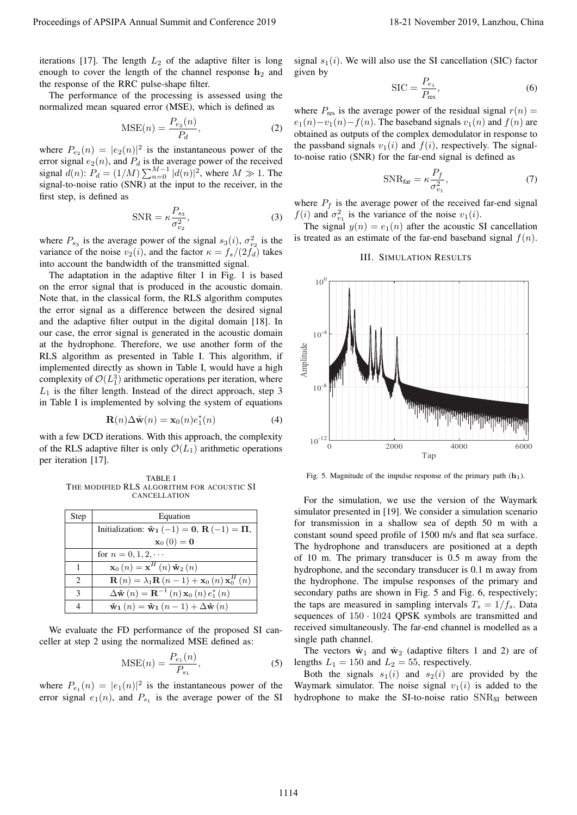iterations [17]. The length  $L_2$  of the adaptive filter is long enough to cover the length of the channel response  $h_2$  and the response of the RRC pulse-shape filter.

The performance of the processing is assessed using the normalized mean squared error (MSE), which is defined as

$$
\text{MSE}(n) = \frac{P_{e_2}(n)}{P_d},\tag{2}
$$

where  $P_{e_2}(n) = |e_2(n)|^2$  is the instantaneous power of the error signal  $e_2(n)$ , and  $P_d$  is the average power of the received signal  $d(n)$ :  $P_d = (1/M) \sum_{n=0}^{M-1} |d(n)|^2$ , where  $M \gg 1$ . The signal-to-noise ratio (SNR) at the input to the receiver, in the first step, is defined as

$$
\text{SNR} = \kappa \frac{P_{s_3}}{\sigma_{v_2}^2},\tag{3}
$$

where  $P_{s_3}$  is the average power of the signal  $s_3(i)$ ,  $\sigma_{v_2}^2$  is the variance of the noise  $v_2(i)$ , and the factor  $\kappa = f_s/(2f_d)$  takes into account the bandwidth of the transmitted signal.

The adaptation in the adaptive filter 1 in Fig. 1 is based on the error signal that is produced in the acoustic domain. Note that, in the classical form, the RLS algorithm computes the error signal as a difference between the desired signal and the adaptive filter output in the digital domain [18]. In our case, the error signal is generated in the acoustic domain at the hydrophone. Therefore, we use another form of the RLS algorithm as presented in Table I. This algorithm, if implemented directly as shown in Table I, would have a high complexity of  $\mathcal{O}(L_1^3)$  arithmetic operations per iteration, where  $L_1$  is the filter length. Instead of the direct approach, step 3 in Table I is implemented by solving the system of equations

$$
\mathbf{R}(n)\Delta\hat{\mathbf{w}}(n) = \mathbf{x}_0(n)e_1^*(n) \tag{4}
$$

with a few DCD iterations. With this approach, the complexity of the RLS adaptive filter is only  $\mathcal{O}(L_1)$  arithmetic operations per iteration [17].

TABLE I THE MODIFIED RLS ALGORITHM FOR ACOUSTIC SI CANCELLATION

| Step                        | Equation                                                                                        |
|-----------------------------|-------------------------------------------------------------------------------------------------|
|                             | Initialization: $\mathbf{\hat{w}}_1(-1) = \mathbf{0}, \mathbf{R}(-1) = \mathbf{\Pi},$           |
|                             | $\mathbf{x}_0(0)=\mathbf{0}$                                                                    |
|                             | for $n = 0, 1, 2, \cdots$                                                                       |
| 1                           | $\mathbf{x}_{0}\left(n\right) = \mathbf{x}^{H}\left(n\right)\hat{\mathbf{w}}_{2}\left(n\right)$ |
| $\mathcal{D}_{\mathcal{A}}$ | $\mathbf{R}(n) = \lambda_1 \mathbf{R}(n-1) + \mathbf{x}_0(n) \mathbf{x}_0^H(n)$                 |
| $\mathcal{R}$               | $\Delta \hat{\mathbf{w}}(n) = \mathbf{R}^{-1}(n) \mathbf{x}_0(n) e_1^*(n)$                      |
|                             | $\mathbf{\hat{w}}_1(n) = \mathbf{\hat{w}}_1(n-1) + \Delta \mathbf{\hat{w}}(n)$                  |

We evaluate the FD performance of the proposed SI canceller at step 2 using the normalized MSE defined as:

$$
MSE(n) = \frac{P_{e_1}(n)}{P_{s_1}},
$$
\n(5)

where  $P_{e_1}(n) = |e_1(n)|^2$  is the instantaneous power of the error signal  $e_1(n)$ , and  $P_{s_1}$  is the average power of the SI signal  $s_1(i)$ . We will also use the SI cancellation (SIC) factor given by

$$
SIC = \frac{P_{e_1}}{P_{\text{res}}},\tag{6}
$$

where  $P_{res}$  is the average power of the residual signal  $r(n)$  =  $e_1(n)-v_1(n)-f(n)$ . The baseband signals  $v_1(n)$  and  $f(n)$  are obtained as outputs of the complex demodulator in response to the passband signals  $v_1(i)$  and  $f(i)$ , respectively. The signalto-noise ratio (SNR) for the far-end signal is defined as

$$
SNR_{far} = \kappa \frac{P_f}{\sigma_{v_1}^2},\tag{7}
$$

where  $P_f$  is the average power of the received far-end signal  $f(i)$  and  $\sigma_{v_1}^2$  is the variance of the noise  $v_1(i)$ .

The signal  $y(n) = e_1(n)$  after the acoustic SI cancellation is treated as an estimate of the far-end baseband signal  $f(n)$ .

## III. SIMULATION RESULTS



Fig. 5. Magnitude of the impulse response of the primary path  $(h_1)$ .

For the simulation, we use the version of the Waymark simulator presented in [19]. We consider a simulation scenario for transmission in a shallow sea of depth 50 m with a constant sound speed profile of 1500 m/s and flat sea surface. The hydrophone and transducers are positioned at a depth of 10 m. The primary transducer is 0.5 m away from the hydrophone, and the secondary transducer is 0.1 m away from the hydrophone. The impulse responses of the primary and secondary paths are shown in Fig. 5 and Fig. 6, respectively; the taps are measured in sampling intervals  $T_s = 1/f_s$ . Data sequences of  $150 \cdot 1024$  QPSK symbols are transmitted and received simultaneously. The far-end channel is modelled as a single path channel.

The vectors  $\hat{w}_1$  and  $\hat{w}_2$  (adaptive filters 1 and 2) are of lengths  $L_1 = 150$  and  $L_2 = 55$ , respectively.

Both the signals  $s_1(i)$  and  $s_2(i)$  are provided by the Waymark simulator. The noise signal  $v_1(i)$  is added to the hydrophone to make the SI-to-noise ratio  $SNR_{SI}$  between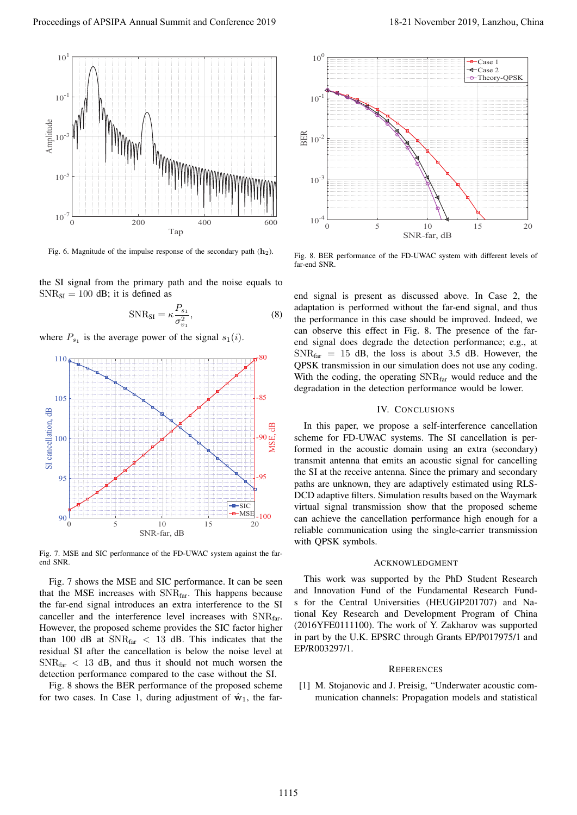

Fig. 6. Magnitude of the impulse response of the secondary path  $(h_2)$ .

the SI signal from the primary path and the noise equals to  $SNR_{SI} = 100$  dB; it is defined as

$$
SNR_{SI} = \kappa \frac{P_{s_1}}{\sigma_{v_1}^2},\tag{8}
$$

where  $P_{s_1}$  is the average power of the signal  $s_1(i)$ .



Fig. 7. MSE and SIC performance of the FD-UWAC system against the farend SNR.

Fig. 7 shows the MSE and SIC performance. It can be seen that the MSE increases with SNRfar. This happens because the far-end signal introduces an extra interference to the SI canceller and the interference level increases with SNR<sub>far</sub>. However, the proposed scheme provides the SIC factor higher than 100 dB at  $SNR_{far} < 13$  dB. This indicates that the residual SI after the cancellation is below the noise level at  $SNR_{\text{far}} < 13$  dB, and thus it should not much worsen the detection performance compared to the case without the SI.

Fig. 8 shows the BER performance of the proposed scheme for two cases. In Case 1, during adjustment of  $\hat{w}_1$ , the far-



Fig. 8. BER performance of the FD-UWAC system with different levels of far-end SNR.

end signal is present as discussed above. In Case 2, the adaptation is performed without the far-end signal, and thus the performance in this case should be improved. Indeed, we can observe this effect in Fig. 8. The presence of the farend signal does degrade the detection performance; e.g., at  $SNR_{far}$  = 15 dB, the loss is about 3.5 dB. However, the QPSK transmission in our simulation does not use any coding. With the coding, the operating  $SNR_{far}$  would reduce and the degradation in the detection performance would be lower.

## IV. CONCLUSIONS

In this paper, we propose a self-interference cancellation scheme for FD-UWAC systems. The SI cancellation is performed in the acoustic domain using an extra (secondary) transmit antenna that emits an acoustic signal for cancelling the SI at the receive antenna. Since the primary and secondary paths are unknown, they are adaptively estimated using RLS-DCD adaptive filters. Simulation results based on the Waymark virtual signal transmission show that the proposed scheme can achieve the cancellation performance high enough for a reliable communication using the single-carrier transmission with QPSK symbols.

### ACKNOWLEDGMENT

This work was supported by the PhD Student Research and Innovation Fund of the Fundamental Research Funds for the Central Universities (HEUGIP201707) and National Key Research and Development Program of China (2016YFE0111100). The work of Y. Zakharov was supported in part by the U.K. EPSRC through Grants EP/P017975/1 and EP/R003297/1.

#### **REFERENCES**

[1] M. Stojanovic and J. Preisig, "Underwater acoustic communication channels: Propagation models and statistical